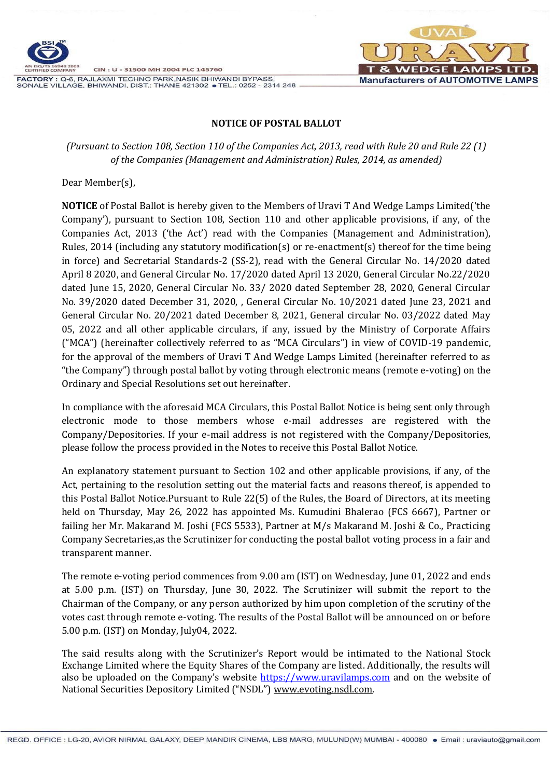

FACTORY : Q-6, RAJLAXMI TECHNO PARK, NASIK BHIWANDI BYPASS, SONALE VILLAGE, BHIWANDI, DIST.: THANE 421302 • TEL.: 0252 - 2314 248



#### **NOTICE OF POSTAL BALLOT**

*(Pursuant to Section 108, Section 110 of the Companies Act, 2013, read with Rule 20 and Rule 22 (1) of the Companies (Management and Administration) Rules, 2014, as amended)*

Dear Member(s),

**NOTICE** of Postal Ballot is hereby given to the Members of Uravi T And Wedge Lamps Limited('the Company'), pursuant to Section 108, Section 110 and other applicable provisions, if any, of the Companies Act, 2013 ('the Act') read with the Companies (Management and Administration), Rules, 2014 (including any statutory modification(s) or re-enactment(s) thereof for the time being in force) and Secretarial Standards-2 (SS-2), read with the General Circular No. 14/2020 dated April 8 2020, and General Circular No. 17/2020 dated April 13 2020, General Circular No.22/2020 dated June 15, 2020, General Circular No. 33/ 2020 dated September 28, 2020, General Circular No. 39/2020 dated December 31, 2020, , General Circular No. 10/2021 dated June 23, 2021 and General Circular No. 20/2021 dated December 8, 2021, General circular No. 03/2022 dated May 05, 2022 and all other applicable circulars, if any, issued by the Ministry of Corporate Affairs ("MCA") (hereinafter collectively referred to as "MCA Circulars") in view of COVID-19 pandemic, for the approval of the members of Uravi T And Wedge Lamps Limited (hereinafter referred to as "the Company") through postal ballot by voting through electronic means (remote e-voting) on the Ordinary and Special Resolutions set out hereinafter.

In compliance with the aforesaid MCA Circulars, this Postal Ballot Notice is being sent only through electronic mode to those members whose e-mail addresses are registered with the Company/Depositories. If your e-mail address is not registered with the Company/Depositories, please follow the process provided in the Notes to receive this Postal Ballot Notice.

An explanatory statement pursuant to Section 102 and other applicable provisions, if any, of the Act, pertaining to the resolution setting out the material facts and reasons thereof, is appended to this Postal Ballot Notice.Pursuant to Rule 22(5) of the Rules, the Board of Directors, at its meeting held on Thursday, May 26, 2022 has appointed Ms. Kumudini Bhalerao (FCS 6667), Partner or failing her Mr. Makarand M. Joshi (FCS 5533), Partner at M/s Makarand M. Joshi & Co., Practicing Company Secretaries,as the Scrutinizer for conducting the postal ballot voting process in a fair and transparent manner.

The remote e-voting period commences from 9.00 am (IST) on Wednesday, June 01, 2022 and ends at 5.00 p.m. (IST) on Thursday, June 30, 2022. The Scrutinizer will submit the report to the Chairman of the Company, or any person authorized by him upon completion of the scrutiny of the votes cast through remote e-voting. The results of the Postal Ballot will be announced on or before 5.00 p.m. (IST) on Monday, July04, 2022.

The said results along with the Scrutinizer's Report would be intimated to the National Stock Exchange Limited where the Equity Shares of the Company are listed. Additionally, the results will also be uploaded on the Company's website [https://www.uravilamps.com](https://www.uravilamps.com/) and on the website of National Securities Depository Limited ("NSDL") [www.evoting.nsdl.com.](http://www.evoting.nsdl.com/)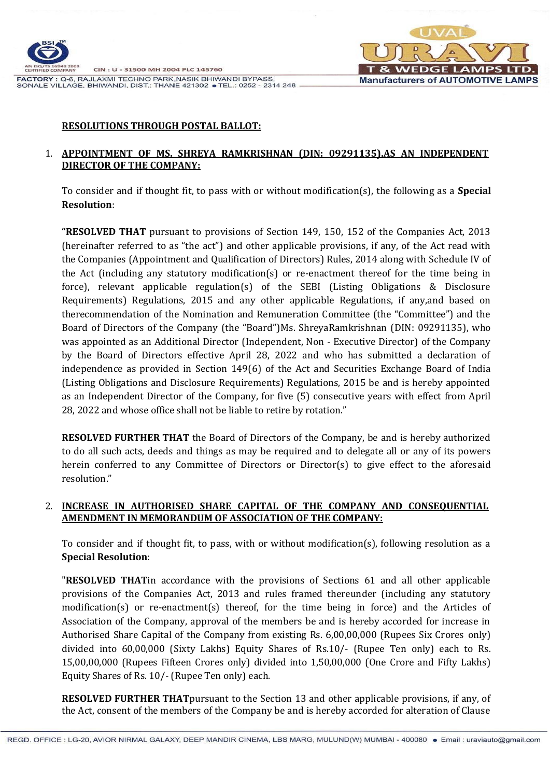

FACTORY : Q-6, RAJLAXMI TECHNO PARK, NASIK BHIWANDI BYPASS, SONALE VILLAGE, BHIWANDI, DIST.: THANE 421302 • TEL.: 0252 - 2314 248



#### **RESOLUTIONS THROUGH POSTAL BALLOT:**

#### 1. **APPOINTMENT OF MS. SHREYA RAMKRISHNAN (DIN: [09291135\)](https://www.mca.gov.in/mcafoportal/companyLLPMasterData.do),AS AN INDEPENDENT DIRECTOR OF THE COMPANY:**

To consider and if thought fit, to pass with or without modification(s), the following as a **Special Resolution**:

**"RESOLVED THAT** pursuant to provisions of Section 149, 150, 152 of the Companies Act, 2013 (hereinafter referred to as "the act") and other applicable provisions, if any, of the Act read with the Companies (Appointment and Qualification of Directors) Rules, 2014 along with Schedule IV of the Act (including any statutory modification(s) or re-enactment thereof for the time being in force), relevant applicable regulation(s) of the SEBI (Listing Obligations & Disclosure Requirements) Regulations, 2015 and any other applicable Regulations, if any,and based on therecommendation of the Nomination and Remuneration Committee (the "Committee") and the Board of Directors of the Company (the "Board")Ms. ShreyaRamkrishnan (DIN: [09291135\)](https://www.mca.gov.in/mcafoportal/companyLLPMasterData.do), who was appointed as an Additional Director (Independent, Non - Executive Director) of the Company by the Board of Directors effective April 28, 2022 and who has submitted a declaration of independence as provided in Section 149(6) of the Act and Securities Exchange Board of India (Listing Obligations and Disclosure Requirements) Regulations, 2015 be and is hereby appointed as an Independent Director of the Company, for five (5) consecutive years with effect from April 28, 2022 and whose office shall not be liable to retire by rotation."

**RESOLVED FURTHER THAT** the Board of Directors of the Company, be and is hereby authorized to do all such acts, deeds and things as may be required and to delegate all or any of its powers herein conferred to any Committee of Directors or Director(s) to give effect to the aforesaid resolution."

# 2. **INCREASE IN AUTHORISED SHARE CAPITAL OF THE COMPANY AND CONSEQUENTIAL AMENDMENT IN MEMORANDUM OF ASSOCIATION OF THE COMPANY:**

To consider and if thought fit, to pass, with or without modification(s), following resolution as a **Special Resolution**:

"**RESOLVED THAT**in accordance with the provisions of Sections 61 and all other applicable provisions of the Companies Act, 2013 and rules framed thereunder (including any statutory modification(s) or re-enactment(s) thereof, for the time being in force) and the Articles of Association of the Company, approval of the members be and is hereby accorded for increase in Authorised Share Capital of the Company from existing Rs. 6,00,00,000 (Rupees Six Crores only) divided into 60,00,000 (Sixty Lakhs) Equity Shares of Rs.10/- (Rupee Ten only) each to Rs. 15,00,00,000 (Rupees Fifteen Crores only) divided into 1,50,00,000 (One Crore and Fifty Lakhs) Equity Shares of Rs. 10/- (Rupee Ten only) each.

**RESOLVED FURTHER THAT**pursuant to the Section 13 and other applicable provisions, if any, of the Act, consent of the members of the Company be and is hereby accorded for alteration of Clause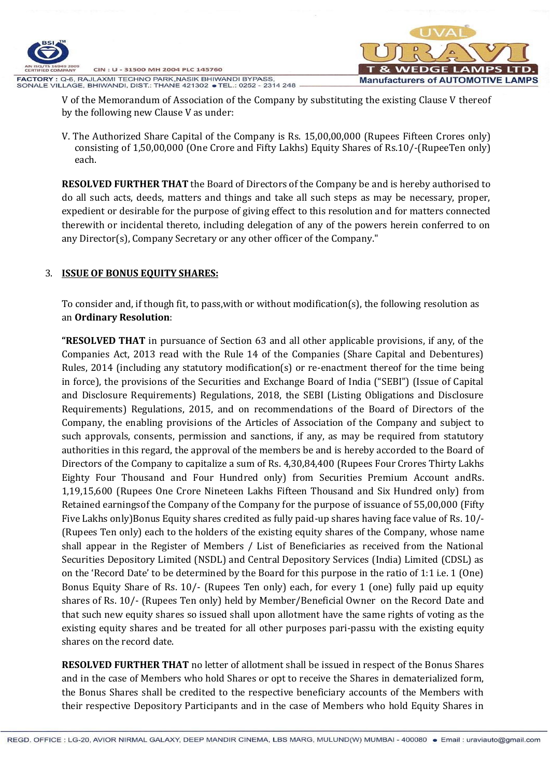

V of the Memorandum of Association of the Company by substituting the existing Clause V thereof by the following new Clause V as under:

V. The Authorized Share Capital of the Company is Rs. 15,00,00,000 (Rupees Fifteen Crores only) consisting of 1,50,00,000 (One Crore and Fifty Lakhs) Equity Shares of Rs.10/-(RupeeTen only) each.

**RESOLVED FURTHER THAT** the Board of Directors of the Company be and is hereby authorised to do all such acts, deeds, matters and things and take all such steps as may be necessary, proper, expedient or desirable for the purpose of giving effect to this resolution and for matters connected therewith or incidental thereto, including delegation of any of the powers herein conferred to on any Director(s), Company Secretary or any other officer of the Company."

# 3. **ISSUE OF BONUS EQUITY SHARES:**

To consider and, if though fit, to pass,with or without modification(s), the following resolution as an **Ordinary Resolution**:

**"RESOLVED THAT** in pursuance of Section 63 and all other applicable provisions, if any, of the Companies Act, 2013 read with the Rule 14 of the Companies (Share Capital and Debentures) Rules, 2014 (including any statutory modification(s) or re-enactment thereof for the time being in force), the provisions of the Securities and Exchange Board of India ("SEBI") (Issue of Capital and Disclosure Requirements) Regulations, 2018, the SEBI (Listing Obligations and Disclosure Requirements) Regulations, 2015, and on recommendations of the Board of Directors of the Company, the enabling provisions of the Articles of Association of the Company and subject to such approvals, consents, permission and sanctions, if any, as may be required from statutory authorities in this regard, the approval of the members be and is hereby accorded to the Board of Directors of the Company to capitalize a sum of Rs. 4,30,84,400 (Rupees Four Crores Thirty Lakhs Eighty Four Thousand and Four Hundred only) from Securities Premium Account andRs. 1,19,15,600 (Rupees One Crore Nineteen Lakhs Fifteen Thousand and Six Hundred only) from Retained earningsof the Company of the Company for the purpose of issuance of 55,00,000 (Fifty Five Lakhs only)Bonus Equity shares credited as fully paid-up shares having face value of Rs. 10/- (Rupees Ten only) each to the holders of the existing equity shares of the Company, whose name shall appear in the Register of Members / List of Beneficiaries as received from the National Securities Depository Limited (NSDL) and Central Depository Services (India) Limited (CDSL) as on the 'Record Date' to be determined by the Board for this purpose in the ratio of 1:1 i.e. 1 (One) Bonus Equity Share of Rs. 10/- (Rupees Ten only) each, for every 1 (one) fully paid up equity shares of Rs. 10/- (Rupees Ten only) held by Member/Beneficial Owner on the Record Date and that such new equity shares so issued shall upon allotment have the same rights of voting as the existing equity shares and be treated for all other purposes pari-passu with the existing equity shares on the record date.

**RESOLVED FURTHER THAT** no letter of allotment shall be issued in respect of the Bonus Shares and in the case of Members who hold Shares or opt to receive the Shares in dematerialized form, the Bonus Shares shall be credited to the respective beneficiary accounts of the Members with their respective Depository Participants and in the case of Members who hold Equity Shares in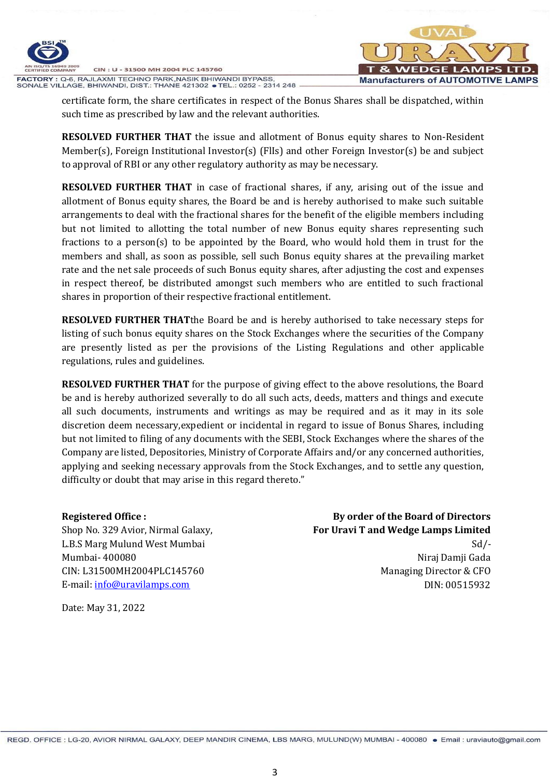

FACTORY : Q-6, RAJLAXMI TECHNO PARK, NASIK BHIWANDI BYPASS, SONALE VILLAGE, BHIWANDI, DIST.: THANE 421302 • TEL.: 0252 - 2314 248



certificate form, the share certificates in respect of the Bonus Shares shall be dispatched, within such time as prescribed by law and the relevant authorities.

**RESOLVED FURTHER THAT** the issue and allotment of Bonus equity shares to Non-Resident Member(s), Foreign Institutional Investor(s) (FlIs) and other Foreign Investor(s) be and subject to approval of RBI or any other regulatory authority as may be necessary.

**RESOLVED FURTHER THAT** in case of fractional shares, if any, arising out of the issue and allotment of Bonus equity shares, the Board be and is hereby authorised to make such suitable arrangements to deal with the fractional shares for the benefit of the eligible members including but not limited to allotting the total number of new Bonus equity shares representing such fractions to a person(s) to be appointed by the Board, who would hold them in trust for the members and shall, as soon as possible, sell such Bonus equity shares at the prevailing market rate and the net sale proceeds of such Bonus equity shares, after adjusting the cost and expenses in respect thereof, be distributed amongst such members who are entitled to such fractional shares in proportion of their respective fractional entitlement.

**RESOLVED FURTHER THAT**the Board be and is hereby authorised to take necessary steps for listing of such bonus equity shares on the Stock Exchanges where the securities of the Company are presently listed as per the provisions of the Listing Regulations and other applicable regulations, rules and guidelines.

**RESOLVED FURTHER THAT** for the purpose of giving effect to the above resolutions, the Board be and is hereby authorized severally to do all such acts, deeds, matters and things and execute all such documents, instruments and writings as may be required and as it may in its sole discretion deem necessary,expedient or incidental in regard to issue of Bonus Shares, including but not limited to filing of any documents with the SEBI, Stock Exchanges where the shares of the Company are listed, Depositories, Ministry of Corporate Affairs and/or any concerned authorities, applying and seeking necessary approvals from the Stock Exchanges, and to settle any question, difficulty or doubt that may arise in this regard thereto."

#### **Registered Office :**

Shop No. 329 Avior, Nirmal Galaxy, L.B.S Marg Mulund West Mumbai Mumbai- 400080 CIN: L31500MH2004PLC145760 E-mail: [info@uravilamps.com](mailto:info@uravilamps.com)

**By order of the Board of Directors For Uravi T and Wedge Lamps Limited**  $Sd$  /-

Niraj Damji Gada Managing Director & CFO DIN: 00515932

Date: May 31, 2022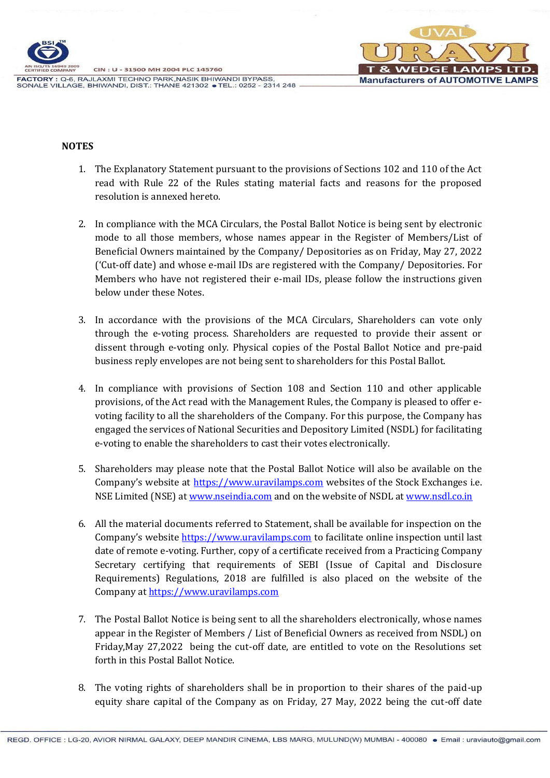

GE **Manufacturers of AUTOMOTIVE LAMPS** 

FACTORY : Q-6, RAJLAXMI TECHNO PARK, NASIK BHIWANDI BYPASS, SONALE VILLAGE, BHIWANDI, DIST.: THANE 421302 • TEL.: 0252 - 2314 248

#### **NOTES**

- 1. The Explanatory Statement pursuant to the provisions of Sections 102 and 110 of the Act read with Rule 22 of the Rules stating material facts and reasons for the proposed resolution is annexed hereto.
- 2. In compliance with the MCA Circulars, the Postal Ballot Notice is being sent by electronic mode to all those members, whose names appear in the Register of Members/List of Beneficial Owners maintained by the Company/ Depositories as on Friday, May 27, 2022 ('Cut-off date) and whose e-mail IDs are registered with the Company/ Depositories. For Members who have not registered their e-mail IDs, please follow the instructions given below under these Notes.
- 3. In accordance with the provisions of the MCA Circulars, Shareholders can vote only through the e-voting process. Shareholders are requested to provide their assent or dissent through e-voting only. Physical copies of the Postal Ballot Notice and pre-paid business reply envelopes are not being sent to shareholders for this Postal Ballot.
- 4. In compliance with provisions of Section 108 and Section 110 and other applicable provisions, of the Act read with the Management Rules, the Company is pleased to offer evoting facility to all the shareholders of the Company. For this purpose, the Company has engaged the services of National Securities and Depository Limited (NSDL) for facilitating e-voting to enable the shareholders to cast their votes electronically.
- 5. Shareholders may please note that the Postal Ballot Notice will also be available on the Company's website at [https://www.uravilamps.com](https://www.uravilamps.com/) websites of the Stock Exchanges i.e. NSE Limited (NSE) at [www.nseindia.com](http://www.nseindia.com/) and on the website of NSDL at [www.nsdl.co.in](http://www.nsdl.co.in/)
- 6. All the material documents referred to Statement, shall be available for inspection on the Company's website [https://www.uravilamps.com](https://www.uravilamps.com/) to facilitate online inspection until last date of remote e-voting. Further, copy of a certificate received from a Practicing Company Secretary certifying that requirements of SEBI (Issue of Capital and Disclosure Requirements) Regulations, 2018 are fulfilled is also placed on the website of the Company at [https://www.uravilamps.com](https://www.uravilamps.com/)
- 7. The Postal Ballot Notice is being sent to all the shareholders electronically, whose names appear in the Register of Members / List of Beneficial Owners as received from NSDL) on Friday,May 27,2022 being the cut-off date, are entitled to vote on the Resolutions set forth in this Postal Ballot Notice.
- 8. The voting rights of shareholders shall be in proportion to their shares of the paid-up equity share capital of the Company as on Friday, 27 May, 2022 being the cut-off date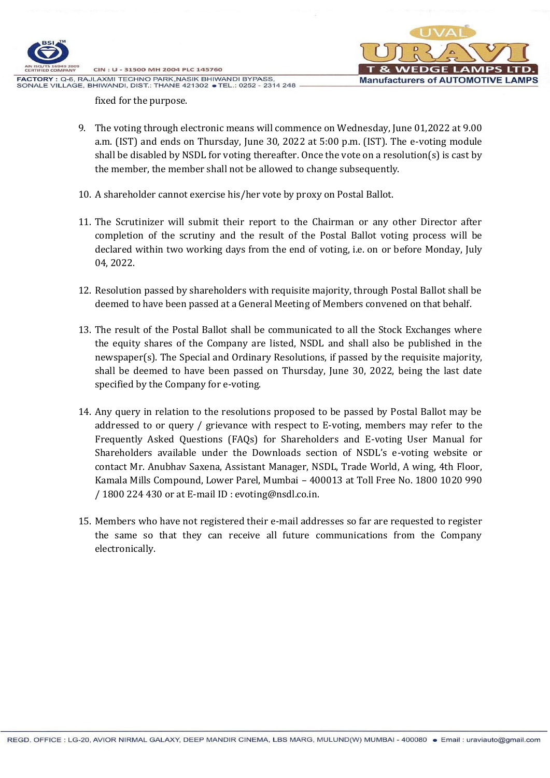



fixed for the purpose.

- 9. The voting through electronic means will commence on Wednesday, June 01,2022 at 9.00 a.m. (IST) and ends on Thursday, June 30, 2022 at 5:00 p.m. (IST). The e-voting module shall be disabled by NSDL for voting thereafter. Once the vote on a resolution(s) is cast by the member, the member shall not be allowed to change subsequently.
- 10. A shareholder cannot exercise his/her vote by proxy on Postal Ballot.
- 11. The Scrutinizer will submit their report to the Chairman or any other Director after completion of the scrutiny and the result of the Postal Ballot voting process will be declared within two working days from the end of voting, i.e. on or before Monday, July 04, 2022.
- 12. Resolution passed by shareholders with requisite majority, through Postal Ballot shall be deemed to have been passed at a General Meeting of Members convened on that behalf.
- 13. The result of the Postal Ballot shall be communicated to all the Stock Exchanges where the equity shares of the Company are listed, NSDL and shall also be published in the newspaper(s). The Special and Ordinary Resolutions, if passed by the requisite majority, shall be deemed to have been passed on Thursday, June 30, 2022, being the last date specified by the Company for e-voting.
- 14. Any query in relation to the resolutions proposed to be passed by Postal Ballot may be addressed to or query / grievance with respect to E-voting, members may refer to the Frequently Asked Questions (FAQs) for Shareholders and E-voting User Manual for Shareholders available under the Downloads section of NSDL's e-voting website or contact Mr. Anubhav Saxena, Assistant Manager, NSDL, Trade World, A wing, 4th Floor, Kamala Mills Compound, Lower Parel, Mumbai – 400013 at Toll Free No. 1800 1020 990 / 1800 224 430 or at E-mail ID : [evoting@nsdl.co.in.](mailto:evoting@nsdl.co.in)
- 15. Members who have not registered their e‐mail addresses so far are requested to register the same so that they can receive all future communications from the Company electronically.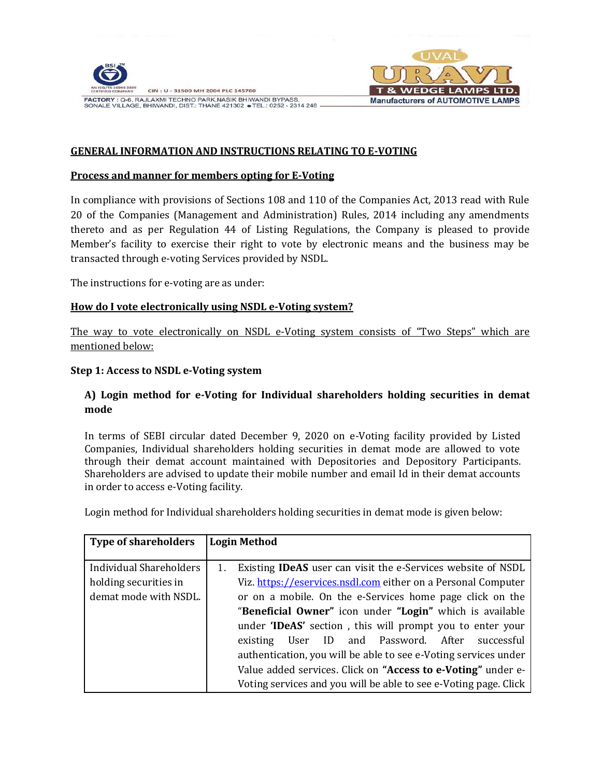

CIN: U - 31500 MH 2004 PLC 145760 FACTORY : Q-6, RAJLAXMI TECHNO PARK, NASIK BHIWANDI BYPASS, SONALE VILLAGE, BHIWANDI, DIST.: THANE 421302 • TEL.: 0252 - 2314 248



# **GENERAL INFORMATION AND INSTRUCTIONS RELATING TO E-VOTING**

#### **Process and manner for members opting for E‐Voting**

In compliance with provisions of Sections 108 and 110 of the Companies Act, 2013 read with Rule 20 of the Companies (Management and Administration) Rules, 2014 including any amendments thereto and as per Regulation 44 of Listing Regulations, the Company is pleased to provide Member's facility to exercise their right to vote by electronic means and the business may be transacted through e‐voting Services provided by NSDL.

The instructions for e-voting are as under:

#### **How do I vote electronically using NSDL e-Voting system?**

The way to vote electronically on NSDL e-Voting system consists of "Two Steps" which are mentioned below:

#### **Step 1: Access to NSDL e-Voting system**

#### **A) Login method for e-Voting for Individual shareholders holding securities in demat mode**

In terms of SEBI circular dated December 9, 2020 on e-Voting facility provided by Listed Companies, Individual shareholders holding securities in demat mode are allowed to vote through their demat account maintained with Depositories and Depository Participants. Shareholders are advised to update their mobile number and email Id in their demat accounts in order to access e-Voting facility.

Login method for Individual shareholders holding securities in demat mode is given below:

| <b>Type of shareholders</b> | <b>Login Method</b>                                                 |
|-----------------------------|---------------------------------------------------------------------|
|                             |                                                                     |
| Individual Shareholders     | Existing <b>IDeAS</b> user can visit the e-Services website of NSDL |
| holding securities in       | Viz. https://eservices.nsdl.com either on a Personal Computer       |
| demat mode with NSDL.       | or on a mobile. On the e-Services home page click on the            |
|                             | "Beneficial Owner" icon under "Login" which is available            |
|                             | under 'IDeAS' section, this will prompt you to enter your           |
|                             | User ID and Password. After<br>successful<br>existing               |
|                             | authentication, you will be able to see e-Voting services under     |
|                             | Value added services. Click on "Access to e-Voting" under e-        |
|                             | Voting services and you will be able to see e-Voting page. Click    |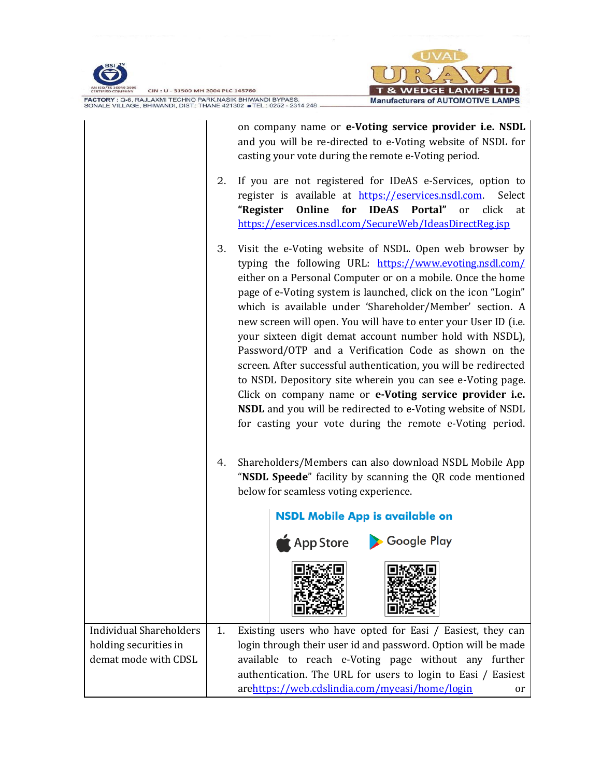



CIN: U - 31500 MH 2004 PLC 145760 FACTORY : Q-6, RAJLAXMI TECHNO PARK, NASIK BHIWANDI BYPASS,<br>SONALE VILLAGE, BHIWANDI, DIST.: THANE 421302 • TEL.: 0252 - 2314 248 –

|                                                         |    | on company name or e-Voting service provider i.e. NSDL<br>and you will be re-directed to e-Voting website of NSDL for<br>casting your vote during the remote e-Voting period.                                                                                                                                                                                                                                                                                                                                                                                                                                                                                                                                                                                                                                                 |  |  |  |  |
|---------------------------------------------------------|----|-------------------------------------------------------------------------------------------------------------------------------------------------------------------------------------------------------------------------------------------------------------------------------------------------------------------------------------------------------------------------------------------------------------------------------------------------------------------------------------------------------------------------------------------------------------------------------------------------------------------------------------------------------------------------------------------------------------------------------------------------------------------------------------------------------------------------------|--|--|--|--|
|                                                         | 2. | If you are not registered for IDeAS e-Services, option to<br>register is available at https://eservices.nsdl.com.<br>Select<br>Online for IDeAS Portal"<br>"Register<br>click<br>or<br>at<br>https://eservices.nsdl.com/SecureWeb/IdeasDirectReg.jsp                                                                                                                                                                                                                                                                                                                                                                                                                                                                                                                                                                          |  |  |  |  |
|                                                         | 3. | Visit the e-Voting website of NSDL. Open web browser by<br>typing the following URL: https://www.evoting.nsdl.com/<br>either on a Personal Computer or on a mobile. Once the home<br>page of e-Voting system is launched, click on the icon "Login"<br>which is available under 'Shareholder/Member' section. A<br>new screen will open. You will have to enter your User ID (i.e.<br>your sixteen digit demat account number hold with NSDL),<br>Password/OTP and a Verification Code as shown on the<br>screen. After successful authentication, you will be redirected<br>to NSDL Depository site wherein you can see e-Voting page.<br>Click on company name or e-Voting service provider i.e.<br>NSDL and you will be redirected to e-Voting website of NSDL<br>for casting your vote during the remote e-Voting period. |  |  |  |  |
|                                                         | 4. | Shareholders/Members can also download NSDL Mobile App<br>"NSDL Speede" facility by scanning the QR code mentioned<br>below for seamless voting experience.                                                                                                                                                                                                                                                                                                                                                                                                                                                                                                                                                                                                                                                                   |  |  |  |  |
|                                                         |    | <b>NSDL Mobile App is available on</b>                                                                                                                                                                                                                                                                                                                                                                                                                                                                                                                                                                                                                                                                                                                                                                                        |  |  |  |  |
|                                                         |    | App Store > Google Play                                                                                                                                                                                                                                                                                                                                                                                                                                                                                                                                                                                                                                                                                                                                                                                                       |  |  |  |  |
|                                                         |    |                                                                                                                                                                                                                                                                                                                                                                                                                                                                                                                                                                                                                                                                                                                                                                                                                               |  |  |  |  |
| <b>Individual Shareholders</b><br>holding securities in | 1. | Existing users who have opted for Easi / Easiest, they can                                                                                                                                                                                                                                                                                                                                                                                                                                                                                                                                                                                                                                                                                                                                                                    |  |  |  |  |
| demat mode with CDSL                                    |    | login through their user id and password. Option will be made<br>available to reach e-Voting page without any further                                                                                                                                                                                                                                                                                                                                                                                                                                                                                                                                                                                                                                                                                                         |  |  |  |  |
|                                                         |    | authentication. The URL for users to login to Easi / Easiest                                                                                                                                                                                                                                                                                                                                                                                                                                                                                                                                                                                                                                                                                                                                                                  |  |  |  |  |
|                                                         |    | arehttps://web.cdslindia.com/myeasi/home/login<br>or                                                                                                                                                                                                                                                                                                                                                                                                                                                                                                                                                                                                                                                                                                                                                                          |  |  |  |  |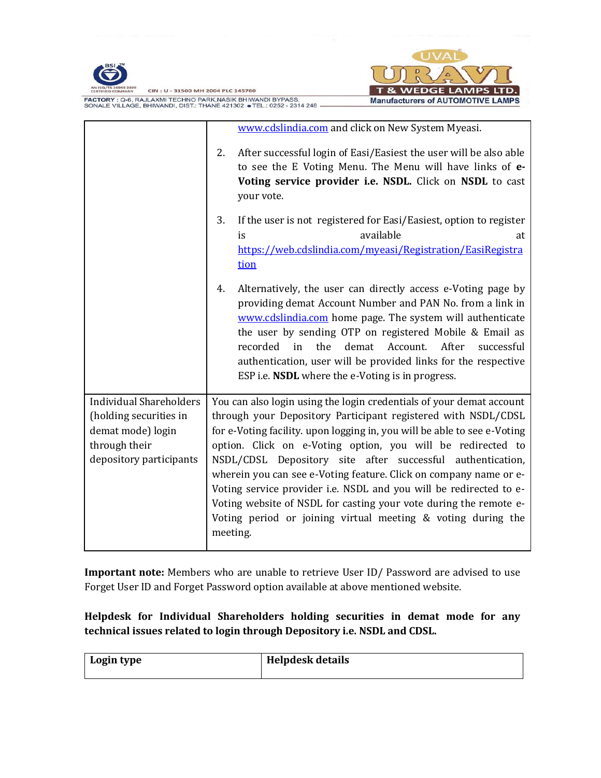

FACTORY : Q-6, RAJLAXMI TECHNO PARK, NASIK BHIWANDI BYPASS,<br>SONALE VILLAGE, BHIWANDI, DIST.: THANE 421302 • TEL.: 0252 - 2314 248 -



|                                                                                                                           | www.cdslindia.com and click on New System Myeasi.                                                                                                                                                                                                                                                                                                                                                                                                                                                                                                                                                                                          |
|---------------------------------------------------------------------------------------------------------------------------|--------------------------------------------------------------------------------------------------------------------------------------------------------------------------------------------------------------------------------------------------------------------------------------------------------------------------------------------------------------------------------------------------------------------------------------------------------------------------------------------------------------------------------------------------------------------------------------------------------------------------------------------|
|                                                                                                                           | After successful login of Easi/Easiest the user will be also able<br>2.<br>to see the E Voting Menu. The Menu will have links of e-<br>Voting service provider i.e. NSDL. Click on NSDL to cast<br>your vote.                                                                                                                                                                                                                                                                                                                                                                                                                              |
|                                                                                                                           | 3.<br>If the user is not registered for Easi/Easiest, option to register<br>available<br>is<br>at<br>https://web.cdslindia.com/myeasi/Registration/EasiRegistra<br>tion                                                                                                                                                                                                                                                                                                                                                                                                                                                                    |
|                                                                                                                           | Alternatively, the user can directly access e-Voting page by<br>4.<br>providing demat Account Number and PAN No. from a link in<br>www.cdslindia.com home page. The system will authenticate<br>the user by sending OTP on registered Mobile & Email as<br>the<br>After<br>recorded<br>in<br>demat<br>Account.<br>successful<br>authentication, user will be provided links for the respective<br>ESP i.e. NSDL where the e-Voting is in progress.                                                                                                                                                                                         |
| <b>Individual Shareholders</b><br>(holding securities in<br>demat mode) login<br>through their<br>depository participants | You can also login using the login credentials of your demat account<br>through your Depository Participant registered with NSDL/CDSL<br>for e-Voting facility. upon logging in, you will be able to see e-Voting<br>option. Click on e-Voting option, you will be redirected to<br>NSDL/CDSL Depository site after successful authentication,<br>wherein you can see e-Voting feature. Click on company name or e-<br>Voting service provider i.e. NSDL and you will be redirected to e-<br>Voting website of NSDL for casting your vote during the remote e-<br>Voting period or joining virtual meeting & voting during the<br>meeting. |

**Important note:** Members who are unable to retrieve User ID/ Password are advised to use Forget User ID and Forget Password option available at above mentioned website.

# **Helpdesk for Individual Shareholders holding securities in demat mode for any technical issues related to login through Depository i.e. NSDL and CDSL.**

| Login type | <b>Helpdesk details</b> |
|------------|-------------------------|
|            |                         |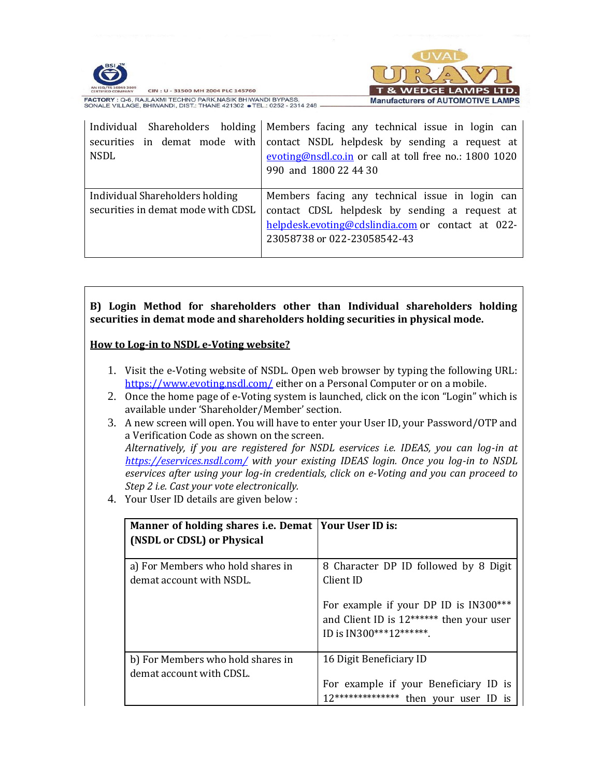



CIN: U - 31500 MH 2004 PLC 145760 FACTORY : Q-6, RAJLAXMI TECHNO PARK, NASIK BHIWANDI BYPASS, SONALE VILLAGE, BHIWANDI, DIST.: THANE 421302 • TEL.: 0252 - 2314 248

| securities in demat mode with<br><b>NSDL</b>                          | Individual Shareholders holding   Members facing any technical issue in login can<br>contact NSDL helpdesk by sending a request at<br>evoting@nsdl.co.in or call at toll free no.: 1800 1020<br>990 and 1800 22 44 30 |
|-----------------------------------------------------------------------|-----------------------------------------------------------------------------------------------------------------------------------------------------------------------------------------------------------------------|
| Individual Shareholders holding<br>securities in demat mode with CDSL | Members facing any technical issue in login can<br>contact CDSL helpdesk by sending a request at<br>helpdesk.evoting@cdslindia.com or contact at 022-<br>23058738 or 022-23058542-43                                  |

**B) Login Method for shareholders other than Individual shareholders holding securities in demat mode and shareholders holding securities in physical mode.**

#### **How to Log-in to NSDL e-Voting website?**

- 1. Visit the e-Voting website of NSDL. Open web browser by typing the following URL: <https://www.evoting.nsdl.com/> either on a Personal Computer or on a mobile.
- 2. Once the home page of e-Voting system is launched, click on the icon "Login" which is available under 'Shareholder/Member' section.
- 3. A new screen will open. You will have to enter your User ID, your Password/OTP and a Verification Code as shown on the screen. *Alternatively, if you are registered for NSDL eservices i.e. IDEAS, you can log-in at <https://eservices.nsdl.com/> with your existing IDEAS login. Once you log-in to NSDL eservices after using your log-in credentials, click on e-Voting and you can proceed to Step 2 i.e. Cast your vote electronically.*
- 4. Your User ID details are given below :

| Manner of holding shares i.e. Demat   Your User ID is:<br>(NSDL or CDSL) or Physical |                                                                                                           |
|--------------------------------------------------------------------------------------|-----------------------------------------------------------------------------------------------------------|
| a) For Members who hold shares in<br>demat account with NSDL.                        | 8 Character DP ID followed by 8 Digit<br>Client ID<br>For example if your DP ID is IN300***               |
|                                                                                      | and Client ID is 12****** then your user<br>ID is IN300***12*******.                                      |
| b) For Members who hold shares in<br>demat account with CDSL.                        | 16 Digit Beneficiary ID<br>For example if your Beneficiary ID is<br>12************** then your user ID is |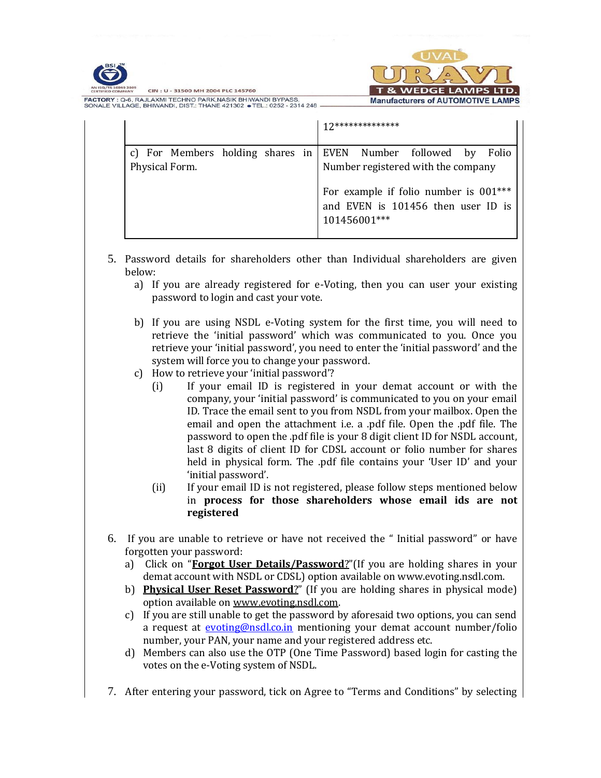



CIN: U - 31500 MH 2004 PLC 145760 FACTORY : Q-6, RAJLAXMI TECHNO PARK, NASIK BHIWANDI BYPASS SONALE VILLAGE, BHIWANDI, DIST.: THANE 421302 • TEL.: 0252 - 2314 248

|                                                                                  |  |              | ******** |                                                                                                                   |  |
|----------------------------------------------------------------------------------|--|--------------|----------|-------------------------------------------------------------------------------------------------------------------|--|
| c) For Members holding shares in EVEN Number followed by Folio<br>Physical Form. |  | 101456001*** |          | Number registered with the company<br>For example if folio number is 001***<br>and EVEN is 101456 then user ID is |  |

- 5. Password details for shareholders other than Individual shareholders are given below:
	- a) If you are already registered for e-Voting, then you can user your existing password to login and cast your vote.
	- b) If you are using NSDL e-Voting system for the first time, you will need to retrieve the 'initial password' which was communicated to you. Once you retrieve your 'initial password', you need to enter the 'initial password' and the system will force you to change your password.
	- c) How to retrieve your 'initial password'?
		- (i) If your email ID is registered in your demat account or with the company, your 'initial password' is communicated to you on your email ID. Trace the email sent to you from NSDL from your mailbox. Open the email and open the attachment i.e. a .pdf file. Open the .pdf file. The password to open the .pdf file is your 8 digit client ID for NSDL account, last 8 digits of client ID for CDSL account or folio number for shares held in physical form. The .pdf file contains your 'User ID' and your 'initial password'.
		- (ii) If your email ID is not registered, please follow steps mentioned below in **process for those shareholders whose email ids are not registered**
- 6. If you are unable to retrieve or have not received the " Initial password" or have forgotten your password:
	- a) Click on "**[Forgot User Details/Password](https://www.evoting.nsdl.com/eVotingWeb/commonhtmls/NewUser.jsp)**?"(If you are holding shares in your demat account with NSDL or CDSL) option available on www.evoting.nsdl.com.
	- b) **[Physical User Reset Password](https://www.evoting.nsdl.com/eVotingWeb/commonhtmls/PhysicalUser.jsp)**?" (If you are holding shares in physical mode) option available o[n www.evoting.nsdl.com.](http://www.evoting.nsdl.com/)
	- c) If you are still unable to get the password by aforesaid two options, you can send a request at [evoting@nsdl.co.in](mailto:evoting@nsdl.co.in) mentioning your demat account number/folio number, your PAN, your name and your registered address etc.
	- d) Members can also use the OTP (One Time Password) based login for casting the votes on the e-Voting system of NSDL.
- 7. After entering your password, tick on Agree to "Terms and Conditions" by selecting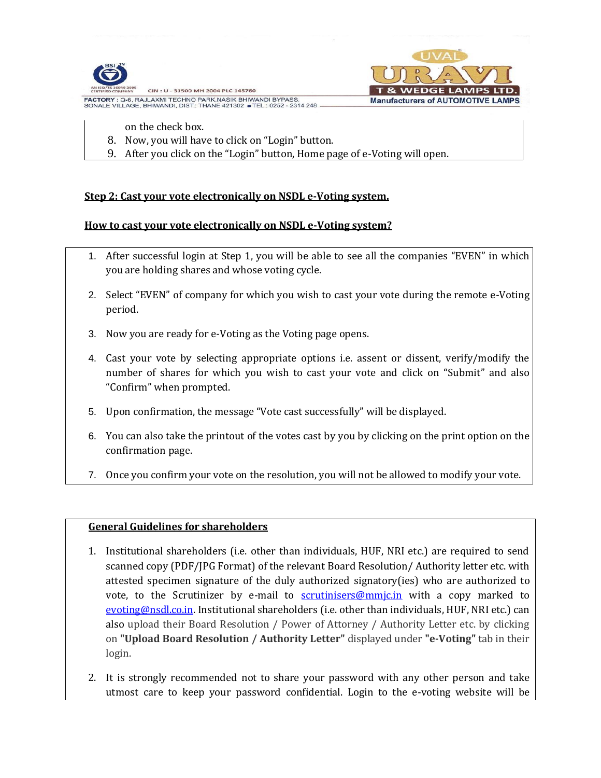

**FACTORY : Q-6, RAJLAXMI TECHNO PARK, NASIK BHIWANDI BYPASS** SONALE VILLAGE, BHIWANDI, DIST.: THANE 421302 · TEL.: 0252 - 2314 248 **Manufacturers of AUTOMOTIVE LAMPS** 

- on the check box.
- 8. Now, you will have to click on "Login" button.
- 9. After you click on the "Login" button, Home page of e-Voting will open.

# **Step 2: Cast your vote electronically on NSDL e-Voting system.**

# **How to cast your vote electronically on NSDL e-Voting system?**

- 1. After successful login at Step 1, you will be able to see all the companies "EVEN" in which you are holding shares and whose voting cycle.
- 2. Select "EVEN" of company for which you wish to cast your vote during the remote e-Voting period.
- 3. Now you are ready for e-Voting as the Voting page opens.
- 4. Cast your vote by selecting appropriate options i.e. assent or dissent, verify/modify the number of shares for which you wish to cast your vote and click on "Submit" and also "Confirm" when prompted.
- 5. Upon confirmation, the message "Vote cast successfully" will be displayed.
- 6. You can also take the printout of the votes cast by you by clicking on the print option on the confirmation page.
- 7. Once you confirm your vote on the resolution, you will not be allowed to modify your vote.

# **General Guidelines for shareholders**

- 1. Institutional shareholders (i.e. other than individuals, HUF, NRI etc.) are required to send scanned copy (PDF/JPG Format) of the relevant Board Resolution/ Authority letter etc. with attested specimen signature of the duly authorized signatory(ies) who are authorized to vote, to the Scrutinizer by e-mail to  $s$ crutinisers@mmjc.in with a copy marked to [evoting@nsdl.co.in.](mailto:evoting@nsdl.co.in) Institutional shareholders (i.e. other than individuals, HUF, NRI etc.) can also upload their Board Resolution / Power of Attorney / Authority Letter etc. by clicking on **"Upload Board Resolution / Authority Letter"** displayed under **"e-Voting"** tab in their login.
- 2. It is strongly recommended not to share your password with any other person and take utmost care to keep your password confidential. Login to the e-voting website will be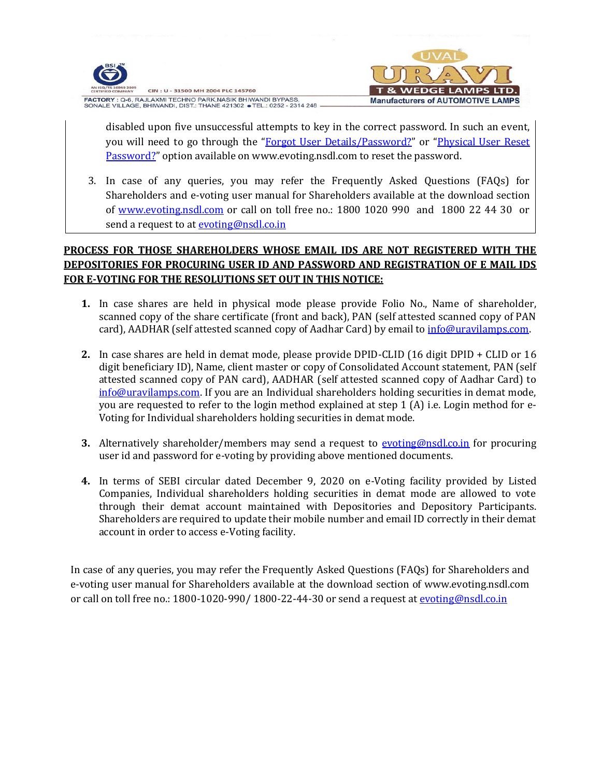

CIN: U - 31500 MH 2004 PLC 145760 FACTORY : Q-6, RAJLAXMI TECHNO PARK, NASIK BHIWANDI BYPASS, SONALE VILLAGE, BHIWANDI, DIST.: THANE 421302 • TEL.: 0252 - 2314 248



disabled upon five unsuccessful attempts to key in the correct password. In such an event, you will need to go through the "[Forgot User Details/Password?](https://www.evoting.nsdl.com/eVotingWeb/commonhtmls/NewUser.jsp)" or "[Physical User Reset](https://www.evoting.nsdl.com/eVotingWeb/commonhtmls/PhysicalUser.jsp)  [Password?](https://www.evoting.nsdl.com/eVotingWeb/commonhtmls/PhysicalUser.jsp)" option available on www.evoting.nsdl.com to reset the password.

3. In case of any queries, you may refer the Frequently Asked Questions (FAQs) for Shareholders and e-voting user manual for Shareholders available at the download section of [www.evoting.nsdl.com](http://www.evoting.nsdl.com/) or call on toll free no.: 1800 1020 990 and 1800 22 44 30 or send a request to at [evoting@nsdl.co.in](mailto:evoting@nsdl.co.in)

# **PROCESS FOR THOSE SHAREHOLDERS WHOSE EMAIL IDS ARE NOT REGISTERED WITH THE DEPOSITORIES FOR PROCURING USER ID AND PASSWORD AND REGISTRATION OF E MAIL IDS FOR E-VOTING FOR THE RESOLUTIONS SET OUT IN THIS NOTICE:**

- **1.** In case shares are held in physical mode please provide Folio No., Name of shareholder, scanned copy of the share certificate (front and back), PAN (self attested scanned copy of PAN card), AADHAR (self attested scanned copy of Aadhar Card) by email to [info@uravilamps.com.](mailto:info@uravilamps.com)
- **2.** In case shares are held in demat mode, please provide DPID-CLID (16 digit DPID + CLID or 16 digit beneficiary ID), Name, client master or copy of Consolidated Account statement, PAN (self attested scanned copy of PAN card), AADHAR (self attested scanned copy of Aadhar Card) to [info@uravilamps.com.](mailto:info@uravilamps.com) If you are an Individual shareholders holding securities in demat mode, you are requested to refer to the login method explained at step 1 (A) i.e. Login method for e-Voting for Individual shareholders holding securities in demat mode.
- **3.** Alternatively shareholder/members may send a request to **evoting@nsdl.co.in** for procuring user id and password for e-voting by providing above mentioned documents.
- **4.** In terms of SEBI circular dated December 9, 2020 on e-Voting facility provided by Listed Companies, Individual shareholders holding securities in demat mode are allowed to vote through their demat account maintained with Depositories and Depository Participants. Shareholders are required to update their mobile number and email ID correctly in their demat account in order to access e-Voting facility.

In case of any queries, you may refer the Frequently Asked Questions (FAQs) for Shareholders and e-voting user manual for Shareholders available at the download section of www.evoting.nsdl.com or call on toll free no.: 1800-1020-990/ 1800-22-44-30 or send a request at [evoting@nsdl.co.in](mailto:evoting@nsdl.co.in)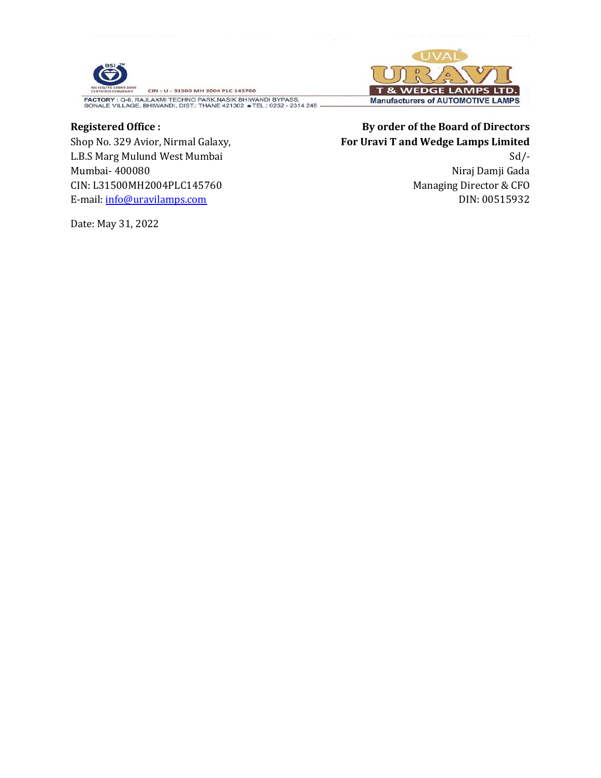

FACTORY : Q-6, RAJLAXMI TECHNO PARK, NASIK BHIWANDI BYPASS,<br>SONALE VILLAGE, BHIWANDI, DIST.: THANE 421302 • TEL.: 0252 - 2314 248

# **Registered Office :**

Shop No. 329 Avior, Nirmal Galaxy, L.B.S Marg Mulund West Mumbai Mumbai- 400080 CIN: L31500MH2004PLC145760 E-mail: [info@uravilamps.com](mailto:info@uravilamps.com)

Date: May 31, 2022



# **By order of the Board of Directors For Uravi T and Wedge Lamps Limited**  $Sd$  /-

Niraj Damji Gada Managing Director & CFO DIN: 00515932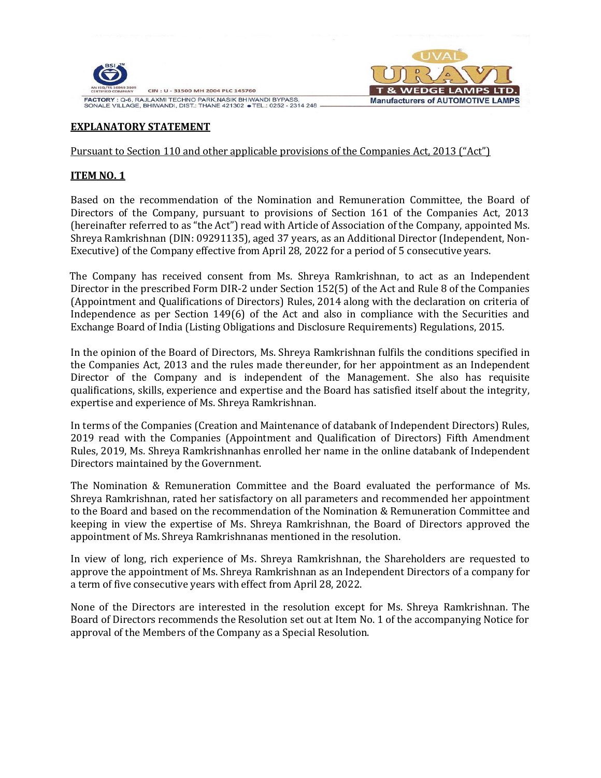

FACTORY : Q-6, RAJLAXMI TECHNO PARK, NASIK BHIWANDI BYPASS, SONALE VILLAGE, BHIWANDI, DIST.: THANE 421302 • TEL.: 0252 - 2314 248



# **EXPLANATORY STATEMENT**

#### Pursuant to Section 110 and other applicable provisions of the Companies Act, 2013 ("Act")

#### **ITEM NO. 1**

Based on the recommendation of the Nomination and Remuneration Committee, the Board of Directors of the Company, pursuant to provisions of Section 161 of the Companies Act, 2013 (hereinafter referred to as "the Act") read with Article of Association of the Company, appointed Ms. Shreya Ramkrishnan (DIN: [09291135\)](https://www.mca.gov.in/mcafoportal/companyLLPMasterData.do), aged 37 years, as an Additional Director (Independent, Non-Executive) of the Company effective from April 28, 2022 for a period of 5 consecutive years.

 The Company has received consent from Ms. Shreya Ramkrishnan, to act as an Independent Director in the prescribed Form DIR-2 under Section 152(5) of the Act and Rule 8 of the Companies (Appointment and Qualifications of Directors) Rules, 2014 along with the declaration on criteria of Independence as per Section 149(6) of the Act and also in compliance with the Securities and Exchange Board of India (Listing Obligations and Disclosure Requirements) Regulations, 2015.

In the opinion of the Board of Directors, Ms. Shreya Ramkrishnan fulfils the conditions specified in the Companies Act, 2013 and the rules made thereunder, for her appointment as an Independent Director of the Company and is independent of the Management. She also has requisite qualifications, skills, experience and expertise and the Board has satisfied itself about the integrity, expertise and experience of Ms. Shreya Ramkrishnan.

In terms of the Companies (Creation and Maintenance of databank of Independent Directors) Rules, 2019 read with the Companies (Appointment and Qualification of Directors) Fifth Amendment Rules, 2019, Ms. Shreya Ramkrishnanhas enrolled her name in the online databank of Independent Directors maintained by the Government.

The Nomination & Remuneration Committee and the Board evaluated the performance of Ms. Shreya Ramkrishnan, rated her satisfactory on all parameters and recommended her appointment to the Board and based on the recommendation of the Nomination & Remuneration Committee and keeping in view the expertise of Ms. Shreya Ramkrishnan, the Board of Directors approved the appointment of Ms. Shreya Ramkrishnanas mentioned in the resolution.

In view of long, rich experience of Ms. Shreya Ramkrishnan, the Shareholders are requested to approve the appointment of Ms. Shreya Ramkrishnan as an Independent Directors of a company for a term of five consecutive years with effect from April 28, 2022.

None of the Directors are interested in the resolution except for Ms. Shreya Ramkrishnan. The Board of Directors recommends the Resolution set out at Item No. 1 of the accompanying Notice for approval of the Members of the Company as a Special Resolution.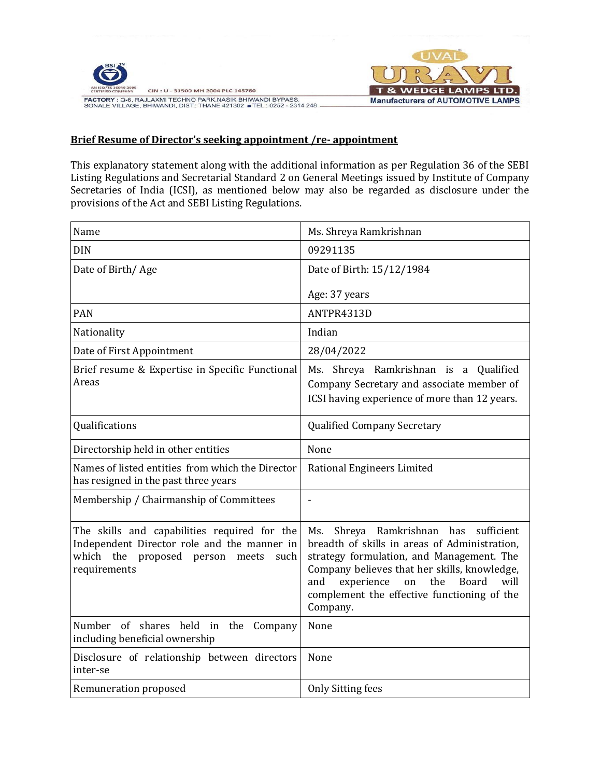

CIN: U - 31500 MH 2004 PLC 145760 FACTORY : Q-6, RAJLAXMI TECHNO PARK, NASIK BHIWANDI BYPASS,<br>SONALE VILLAGE, BHIWANDI, DIST.: THANE 421302 • TEL.: 0252 - 2314 248



#### **Brief Resume of Director's seeking appointment /re- appointment**

This explanatory statement along with the additional information as per Regulation 36 of the SEBI Listing Regulations and Secretarial Standard 2 on General Meetings issued by Institute of Company Secretaries of India (ICSI), as mentioned below may also be regarded as disclosure under the provisions of the Act and SEBI Listing Regulations.

| Name                                                                                                                                                      | Ms. Shreya Ramkrishnan                                                                                                                                                                                                                                                                                         |  |  |  |
|-----------------------------------------------------------------------------------------------------------------------------------------------------------|----------------------------------------------------------------------------------------------------------------------------------------------------------------------------------------------------------------------------------------------------------------------------------------------------------------|--|--|--|
| <b>DIN</b>                                                                                                                                                | 09291135                                                                                                                                                                                                                                                                                                       |  |  |  |
| Date of Birth/Age                                                                                                                                         | Date of Birth: 15/12/1984                                                                                                                                                                                                                                                                                      |  |  |  |
|                                                                                                                                                           | Age: 37 years                                                                                                                                                                                                                                                                                                  |  |  |  |
| <b>PAN</b>                                                                                                                                                | ANTPR4313D                                                                                                                                                                                                                                                                                                     |  |  |  |
| Nationality                                                                                                                                               | Indian                                                                                                                                                                                                                                                                                                         |  |  |  |
| Date of First Appointment                                                                                                                                 | 28/04/2022                                                                                                                                                                                                                                                                                                     |  |  |  |
| Brief resume & Expertise in Specific Functional<br>Areas                                                                                                  | Ms. Shreya Ramkrishnan is a Qualified<br>Company Secretary and associate member of<br>ICSI having experience of more than 12 years.                                                                                                                                                                            |  |  |  |
| Qualifications                                                                                                                                            | <b>Qualified Company Secretary</b>                                                                                                                                                                                                                                                                             |  |  |  |
| Directorship held in other entities                                                                                                                       | None                                                                                                                                                                                                                                                                                                           |  |  |  |
| Names of listed entities from which the Director<br>has resigned in the past three years                                                                  | Rational Engineers Limited                                                                                                                                                                                                                                                                                     |  |  |  |
| Membership / Chairmanship of Committees                                                                                                                   |                                                                                                                                                                                                                                                                                                                |  |  |  |
| The skills and capabilities required for the<br>Independent Director role and the manner in<br>which the<br>proposed person meets<br>such<br>requirements | Shreya Ramkrishnan has<br>sufficient<br>Ms.<br>breadth of skills in areas of Administration,<br>strategy formulation, and Management. The<br>Company believes that her skills, knowledge,<br>experience<br>the<br><b>Board</b><br>will<br>and<br>on<br>complement the effective functioning of the<br>Company. |  |  |  |
| Number of shares held in the<br>Company<br>including beneficial ownership                                                                                 | None                                                                                                                                                                                                                                                                                                           |  |  |  |
| Disclosure of relationship between directors<br>inter-se                                                                                                  | None                                                                                                                                                                                                                                                                                                           |  |  |  |
| Remuneration proposed                                                                                                                                     | <b>Only Sitting fees</b>                                                                                                                                                                                                                                                                                       |  |  |  |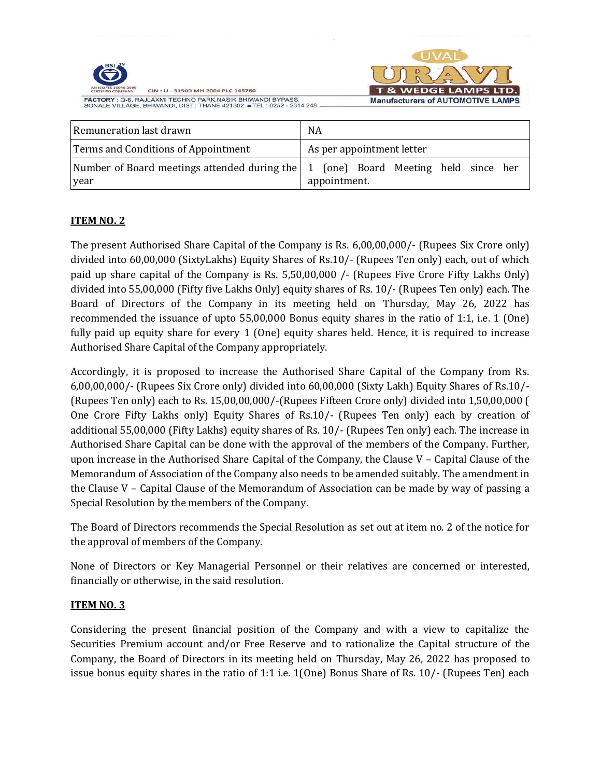|                                                                                                                                      | <b>UVA</b>                                  |
|--------------------------------------------------------------------------------------------------------------------------------------|---------------------------------------------|
| <b>BSI</b>                                                                                                                           |                                             |
| AN ISQ/TS 16949 2009<br>CIN: U - 31500 MH 2004 PLC 145760<br>CERTIFIED COMPANY                                                       | <b>T &amp; WEDGE LAMPS LTD.</b>             |
| FACTORY : Q-6, RAJLAXMI TECHNO PARK, NASIK BHIWANDI BYPASS.<br>SONALE VILLAGE, BHIWANDI, DIST.: THANE 421302 . TEL.: 0252 - 2314 248 | <b>Manufacturers of AUTOMOTIVE LAMPS</b>    |
| Remuneration last drawn                                                                                                              | NA                                          |
| Terms and Conditions of Appointment                                                                                                  | As per appointment letter                   |
| Number of Board meetings attended during the 1                                                                                       | Board Meeting<br>held since<br>(one)<br>her |

appointment.

# **ITEM NO. 2**

year

The present Authorised Share Capital of the Company is Rs. 6,00,00,000/- (Rupees Six Crore only) divided into 60,00,000 (SixtyLakhs) Equity Shares of Rs.10/- (Rupees Ten only) each, out of which paid up share capital of the Company is Rs. 5,50,00,000 /- (Rupees Five Crore Fifty Lakhs Only) divided into 55,00,000 (Fifty five Lakhs Only) equity shares of Rs. 10/- (Rupees Ten only) each. The Board of Directors of the Company in its meeting held on Thursday, May 26, 2022 has recommended the issuance of upto 55,00,000 Bonus equity shares in the ratio of 1:1, i.e. 1 (One) fully paid up equity share for every 1 (One) equity shares held. Hence, it is required to increase Authorised Share Capital of the Company appropriately.

Accordingly, it is proposed to increase the Authorised Share Capital of the Company from Rs. 6,00,00,000/- (Rupees Six Crore only) divided into 60,00,000 (Sixty Lakh) Equity Shares of Rs.10/- (Rupees Ten only) each to Rs. 15,00,00,000/-(Rupees Fifteen Crore only) divided into 1,50,00,000 ( One Crore Fifty Lakhs only) Equity Shares of Rs.10/- (Rupees Ten only) each by creation of additional 55,00,000 (Fifty Lakhs) equity shares of Rs. 10/- (Rupees Ten only) each. The increase in Authorised Share Capital can be done with the approval of the members of the Company. Further, upon increase in the Authorised Share Capital of the Company, the Clause  $V$  – Capital Clause of the Memorandum of Association of the Company also needs to be amended suitably. The amendment in the Clause V – Capital Clause of the Memorandum of Association can be made by way of passing a Special Resolution by the members of the Company.

The Board of Directors recommends the Special Resolution as set out at item no. 2 of the notice for the approval of members of the Company.

None of Directors or Key Managerial Personnel or their relatives are concerned or interested, financially or otherwise, in the said resolution.

#### **ITEM NO. 3**

Considering the present financial position of the Company and with a view to capitalize the Securities Premium account and/or Free Reserve and to rationalize the Capital structure of the Company, the Board of Directors in its meeting held on Thursday, May 26, 2022 has proposed to issue bonus equity shares in the ratio of 1:1 i.e. 1(One) Bonus Share of Rs. 10/- (Rupees Ten) each